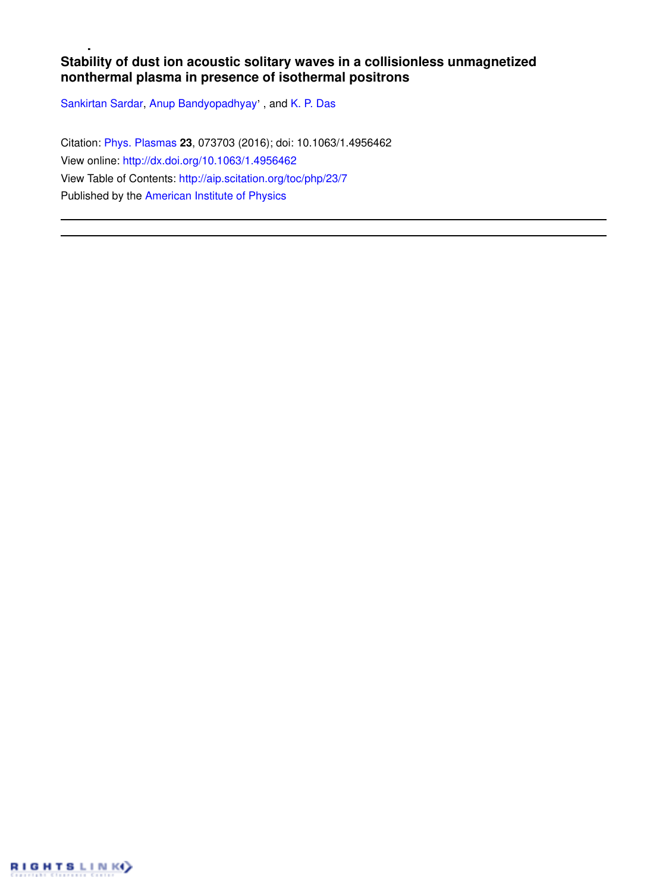# **Stability of dust ion acoustic solitary waves in a collisionless unmagnetized nonthermal plasma in presence of isothermal positrons**

Sankirtan Sardar, Anup Bandyopadhyay', and K. P. Das

Citation: Phys. Plasmas **23**, 073703 (2016); doi: 10.1063/1.4956462 View online: http://dx.doi.org/10.1063/1.4956462 View Table of Contents: http://aip.scitation.org/toc/php/23/7 Published by the American Institute of Physics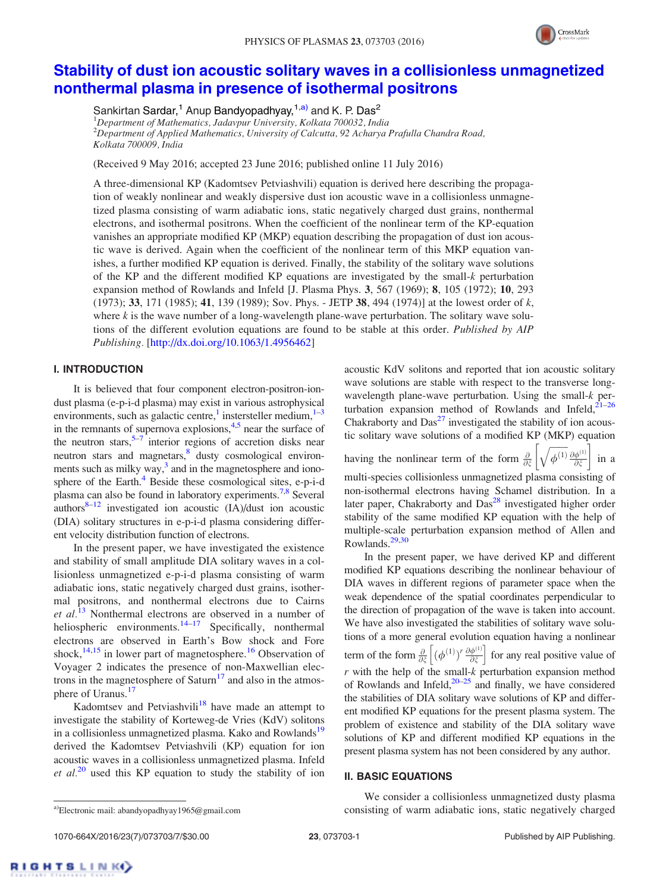

# Stability of dust ion acoustic solitary waves in a collisionless unmagnetized nonthermal plasma in presence of isothermal positrons

Sankirtan Sardar,<sup>1</sup> Anup Bandyopadhyay,<sup>1,a)</sup> and K. P. Das<sup>2</sup> <sup>1</sup>*Department of Mathematics, Jadavpur University, Kolkata 700032, India* <sup>2</sup>*Department of Applied Mathematics, University of Calcutta, 92 Acharya Prafulla Chandra Road, Kolkata 700009, India*

(Received 9 May 2016; accepted 23 June 2016; published online 11 July 2016)

A three-dimensional KP (Kadomtsev Petviashvili) equation is derived here describing the propagation of weakly nonlinear and weakly dispersive dust ion acoustic wave in a collisionless unmagnetized plasma consisting of warm adiabatic ions, static negatively charged dust grains, nonthermal electrons, and isothermal positrons. When the coefficient of the nonlinear term of the KP-equation vanishes an appropriate modified KP (MKP) equation describing the propagation of dust ion acoustic wave is derived. Again when the coefficient of the nonlinear term of this MKP equation vanishes, a further modified KP equation is derived. Finally, the stability of the solitary wave solutions of the KP and the different modified KP equations are investigated by the small-*k* perturbation expansion method of Rowlands and Infeld [J. Plasma Phys. 3, 567 (1969); 8, 105 (1972); 10, 293 (1973); 33, 171 (1985); 41, 139 (1989); Sov. Phys. - JETP 38, 494 (1974)] at the lowest order of *k*, where *k* is the wave number of a long-wavelength plane-wave perturbation. The solitary wave solutions of the different evolution equations are found to be stable at this order. *Published by AIP Publishing.* [http://dx.doi.org/10.1063/1.4956462]

#### I. INTRODUCTION

It is believed that four component electron-positron-iondust plasma (e-p-i-d plasma) may exist in various astrophysical environments, such as galactic centre,<sup>1</sup> instersteller medium, $1-3$ in the remnants of supernova explosions, $4.5$  near the surface of the neutron stars,  $5-7$  interior regions of accretion disks near neutron stars and magnetars,<sup>8</sup> dusty cosmological environments such as milky way,<sup>3</sup> and in the magnetosphere and ionosphere of the Earth. $4$  Beside these cosmological sites, e-p-i-d plasma can also be found in laboratory experiments.<sup>7,8</sup> Several authors $8-12$  investigated ion acoustic (IA)/dust ion acoustic (DIA) solitary structures in e-p-i-d plasma considering different velocity distribution function of electrons.

In the present paper, we have investigated the existence and stability of small amplitude DIA solitary waves in a collisionless unmagnetized e-p-i-d plasma consisting of warm adiabatic ions, static negatively charged dust grains, isothermal positrons, and nonthermal electrons due to Cairns *et al.*<sup>13</sup> Nonthermal electrons are observed in a number of heliospheric environments.<sup>14–17</sup> Specifically, nonthermal electrons are observed in Earth's Bow shock and Fore shock, $14,15$  in lower part of magnetosphere.<sup>16</sup> Observation of Voyager 2 indicates the presence of non-Maxwellian electrons in the magnetosphere of Saturn<sup>17</sup> and also in the atmosphere of Uranus.<sup>17</sup>

Kadomtsev and Petviashvili $18$  have made an attempt to investigate the stability of Korteweg-de Vries (KdV) solitons in a collisionless unmagnetized plasma. Kako and Rowlands<sup>19</sup> derived the Kadomtsev Petviashvili (KP) equation for ion acoustic waves in a collisionless unmagnetized plasma. Infeld *et al.*<sup>20</sup> used this KP equation to study the stability of ion acoustic KdV solitons and reported that ion acoustic solitary wave solutions are stable with respect to the transverse longwavelength plane-wave perturbation. Using the small-*k* perturbation expansion method of Rowlands and Infeld, $21-26$ Chakraborty and  $Das<sup>27</sup>$  investigated the stability of ion acoustic solitary wave solutions of a modified KP (MKP) equation

having the nonlinear term of the form  $\frac{\partial}{\partial \xi}$ 

 $\sqrt{\phi^{(1)}} \frac{\partial \phi^{(1)}}{\partial \overline{z}}$  $\left[\sqrt{\phi^{(1)}} \frac{\partial \phi^{(1)}}{\partial \xi}\right]$  in a

multi-species collisionless unmagnetized plasma consisting of non-isothermal electrons having Schamel distribution. In a

later paper, Chakraborty and  $Das<sup>28</sup>$  investigated higher order stability of the same modified KP equation with the help of multiple-scale perturbation expansion method of Allen and Rowlands.29,30

In the present paper, we have derived KP and different modified KP equations describing the nonlinear behaviour of DIA waves in different regions of parameter space when the weak dependence of the spatial coordinates perpendicular to the direction of propagation of the wave is taken into account. We have also investigated the stabilities of solitary wave solutions of a more general evolution equation having a nonlinear term of the form  $\frac{\partial}{\partial \xi}$   $(\phi^{(1)})^r \frac{\partial \phi^{(1)}}{\partial \xi}$  $\left[ (\phi^{(1)})^r \frac{\partial \phi^{(1)}}{\partial \xi} \right]$  for any real positive value of *r* with the help of the small-*k* perturbation expansion method of Rowlands and Infeld, $20-25$  and finally, we have considered the stabilities of DIA solitary wave solutions of KP and different modified KP equations for the present plasma system. The problem of existence and stability of the DIA solitary wave solutions of KP and different modified KP equations in the present plasma system has not been considered by any author.

#### II. BASIC EQUATIONS

1070-664X/2016/23(7)/073703/7/\$30.00 23, 073703-1 Published by AIP Publishing.

We consider a collisionless unmagnetized dusty plasma a)Electronic mail: abandyopadhyay1965@gmail.com consisting of warm adiabatic ions, static negatively charged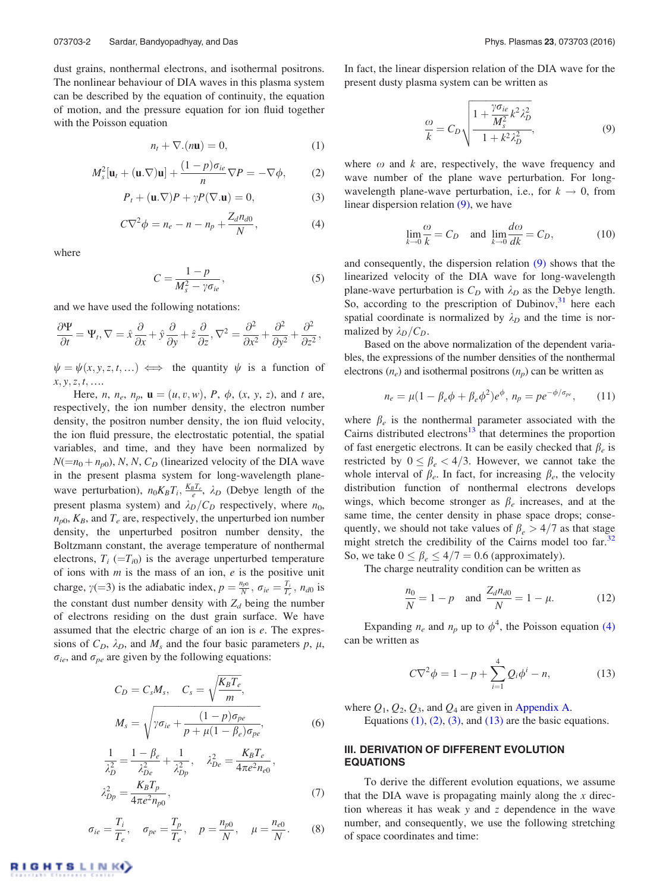dust grains, nonthermal electrons, and isothermal positrons. The nonlinear behaviour of DIA waves in this plasma system can be described by the equation of continuity, the equation of motion, and the pressure equation for ion fluid together with the Poisson equation

$$
n_t + \nabla \cdot (n\mathbf{u}) = 0,\tag{1}
$$

$$
M_s^2[\mathbf{u}_t + (\mathbf{u}.\nabla)\mathbf{u}] + \frac{(1-p)\sigma_{ie}}{n}\nabla P = -\nabla\phi,\qquad(2)
$$

$$
P_t + (\mathbf{u}.\nabla)P + \gamma P(\nabla.\mathbf{u}) = 0,
$$
\n(3)

$$
C\nabla^2 \phi = n_e - n - n_p + \frac{Z_d n_{d0}}{N},\tag{4}
$$

where

$$
C = \frac{1 - p}{M_s^2 - \gamma \sigma_{ie}},\tag{5}
$$

and we have used the following notations:

$$
\frac{\partial \Psi}{\partial t} = \Psi_t, \nabla = \hat{x}\frac{\partial}{\partial x} + \hat{y}\frac{\partial}{\partial y} + \hat{z}\frac{\partial}{\partial z}, \nabla^2 = \frac{\partial^2}{\partial x^2} + \frac{\partial^2}{\partial y^2} + \frac{\partial^2}{\partial z^2},
$$

 $\psi = \psi(x, y, z, t, \dots) \iff$  the quantity  $\psi$  is a function of *x*; *y*;*z*; *t*; ….

Here, *n*,  $n_e$ ,  $n_p$ ,  $\mathbf{u} = (u, v, w)$ , *P*,  $\phi$ , (*x*, *y*, *z*), and *t* are, respectively, the ion number density, the electron number density, the positron number density, the ion fluid velocity, the ion fluid pressure, the electrostatic potential, the spatial variables, and time, and they have been normalized by  $N(=n_0+n_{p0}), N, N, C_D$  (linearized velocity of the DIA wave in the present plasma system for long-wavelength planewave perturbation),  $n_0K_BT_i$ ,  $\frac{K_BT_e}{e}$ ,  $\lambda_D$  (Debye length of the present plasma system) and  $\lambda_D/C_D$  respectively, where  $n_0$ ,  $n_{p0}$ ,  $K_B$ , and  $T_e$  are, respectively, the unperturbed ion number density, the unperturbed positron number density, the Boltzmann constant, the average temperature of nonthermal electrons,  $T_i$  (= $T_i$ <sub>0</sub>) is the average unperturbed temperature of ions with *m* is the mass of an ion, *e* is the positive unit charge,  $\gamma$ (=3) is the adiabatic index,  $p = \frac{n_{p0}}{N}$ ,  $\sigma_{ie} = \frac{T_i}{T_e}$ ,  $n_{d0}$  is the constant dust number density with  $Z_d$  being the number of electrons residing on the dust grain surface. We have assumed that the electric charge of an ion is *e*. The expressions of  $C_D$ ,  $\lambda_D$ , and  $M_s$  and the four basic parameters p,  $\mu$ ,  $\sigma_{ie}$ , and  $\sigma_{pe}$  are given by the following equations:

$$
C_D = C_s M_s, \quad C_s = \sqrt{\frac{K_B T_e}{m}},
$$

$$
M_s = \sqrt{\gamma \sigma_{ie} + \frac{(1 - p)\sigma_{pe}}{p + \mu(1 - \beta_e)\sigma_{pe}}},
$$
(6)

$$
\frac{1}{\lambda_D^2} = \frac{1 - \beta_e}{\lambda_{De}^2} + \frac{1}{\lambda_{Dp}^2}, \quad \lambda_{De}^2 = \frac{K_B T_e}{4\pi e^2 n_{e0}},
$$
  

$$
\lambda_{Dp}^2 = \frac{K_B T_p}{4\pi e^2 n_{p0}},
$$
 (7)

$$
\sigma_{ie} = \frac{T_i}{T_e}, \quad \sigma_{pe} = \frac{T_p}{T_e}, \quad p = \frac{n_{p0}}{N}, \quad \mu = \frac{n_{e0}}{N}.
$$
 (8)

In fact, the linear dispersion relation of the DIA wave for the present dusty plasma system can be written as

$$
\frac{\omega}{k} = C_D \sqrt{\frac{1 + \frac{\gamma \sigma_{ie}}{M_s^2} k^2 \lambda_D^2}{1 + k^2 \lambda_D^2}},\tag{9}
$$

where  $\omega$  and  $k$  are, respectively, the wave frequency and wave number of the plane wave perturbation. For longwavelength plane-wave perturbation, i.e., for  $k \to 0$ , from linear dispersion relation (9), we have

$$
\lim_{k \to 0} \frac{\omega}{k} = C_D \quad \text{and} \quad \lim_{k \to 0} \frac{d\omega}{dk} = C_D,\tag{10}
$$

and consequently, the dispersion relation (9) shows that the linearized velocity of the DIA wave for long-wavelength plane-wave perturbation is  $C_D$  with  $\lambda_D$  as the Debye length. So, according to the prescription of Dubinov, $31$  here each spatial coordinate is normalized by  $\lambda_D$  and the time is normalized by  $\lambda_D/C_D$ .

Based on the above normalization of the dependent variables, the expressions of the number densities of the nonthermal electrons  $(n_e)$  and isothermal positrons  $(n_p)$  can be written as

$$
n_e = \mu (1 - \beta_e \phi + \beta_e \phi^2) e^{\phi}, \ n_p = p e^{-\phi/\sigma_{pe}}, \ (11)
$$

where  $\beta_e$  is the nonthermal parameter associated with the Cairns distributed electrons $13$  that determines the proportion of fast energetic electrons. It can be easily checked that  $\beta_e$  is restricted by  $0 \le \beta_e < 4/3$ . However, we cannot take the whole interval of  $\beta_e$ . In fact, for increasing  $\beta_e$ , the velocity distribution function of nonthermal electrons develops wings, which become stronger as  $\beta_e$  increases, and at the same time, the center density in phase space drops; consequently, we should not take values of  $\beta_e > 4/7$  as that stage might stretch the credibility of the Cairns model too far.<sup>32</sup> So, we take  $0 \le \beta_e \le 4/7 = 0.6$  (approximately).

The charge neutrality condition can be written as

$$
\frac{n_0}{N} = 1 - p \quad \text{and} \quad \frac{Z_d n_{d0}}{N} = 1 - \mu. \tag{12}
$$

Expanding  $n_e$  and  $n_p$  up to  $\phi^4$ , the Poisson equation (4) can be written as

$$
C\nabla^2 \phi = 1 - p + \sum_{i=1}^4 Q_i \phi^i - n,\tag{13}
$$

where  $Q_1$ ,  $Q_2$ ,  $Q_3$ , and  $Q_4$  are given in Appendix A.

Equations  $(1)$ ,  $(2)$ ,  $(3)$ , and  $(13)$  are the basic equations.

### III. DERIVATION OF DIFFERENT EVOLUTION EQUATIONS

To derive the different evolution equations, we assume that the DIA wave is propagating mainly along the *x* direction whereas it has weak *y* and *z* dependence in the wave number, and consequently, we use the following stretching of space coordinates and time: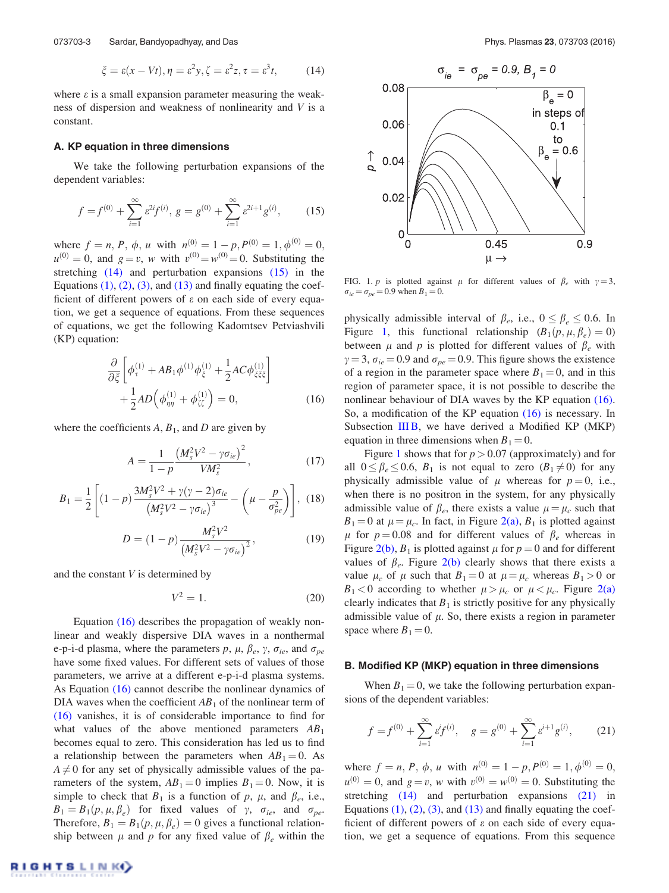$$
\xi = \varepsilon(x - Vt), \eta = \varepsilon^2 y, \zeta = \varepsilon^2 z, \tau = \varepsilon^3 t,
$$
 (14)

where  $\varepsilon$  is a small expansion parameter measuring the weakness of dispersion and weakness of nonlinearity and *V* is a constant.

#### A. KP equation in three dimensions

We take the following perturbation expansions of the dependent variables:

$$
f = f^{(0)} + \sum_{i=1}^{\infty} \varepsilon^{2i} f^{(i)}, \ g = g^{(0)} + \sum_{i=1}^{\infty} \varepsilon^{2i+1} g^{(i)}, \tag{15}
$$

where  $f = n$ , *P*,  $\phi$ , *u* with  $n^{(0)} = 1 - p$ ,  $P^{(0)} = 1$ ,  $\phi^{(0)} = 0$ ,  $u^{(0)} = 0$ , and  $g = v$ , *w* with  $v^{(0)} = w^{(0)} = 0$ . Substituting the stretching (14) and perturbation expansions (15) in the Equations  $(1)$ ,  $(2)$ ,  $(3)$ , and  $(13)$  and finally equating the coefficient of different powers of  $\varepsilon$  on each side of every equation, we get a sequence of equations. From these sequences of equations, we get the following Kadomtsev Petviashvili (KP) equation:

$$
\frac{\partial}{\partial \xi} \left[ \phi_{\tau}^{(1)} + AB_1 \phi^{(1)} \phi_{\xi}^{(1)} + \frac{1}{2} AC \phi_{\xi \xi \xi}^{(1)} \right] + \frac{1}{2} AD \left( \phi_{\eta \eta}^{(1)} + \phi_{\xi \zeta}^{(1)} \right) = 0, \tag{16}
$$

where the coefficients  $A$ ,  $B_1$ , and  $D$  are given by

$$
A = \frac{1}{1 - p} \frac{\left(M_s^2 V^2 - \gamma \sigma_{ie}\right)^2}{V M_s^2},\tag{17}
$$

$$
B_1 = \frac{1}{2} \left[ (1-p) \frac{3M_s^2 V^2 + \gamma (\gamma - 2) \sigma_{ie}}{\left(M_s^2 V^2 - \gamma \sigma_{ie}\right)^3} - \left(\mu - \frac{p}{\sigma_{pe}^2}\right) \right], \tag{18}
$$

$$
D = (1 - p) \frac{M_s^2 V^2}{\left(M_s^2 V^2 - \gamma \sigma_{ie}\right)^2},\tag{19}
$$

and the constant *V* is determined by

$$
V^2 = 1.\t(20)
$$

Equation (16) describes the propagation of weakly nonlinear and weakly dispersive DIA waves in a nonthermal e-p-i-d plasma, where the parameters  $p$ ,  $\mu$ ,  $\beta_e$ ,  $\gamma$ ,  $\sigma_{ie}$ , and  $\sigma_{pe}$ have some fixed values. For different sets of values of those parameters, we arrive at a different e-p-i-d plasma systems. As Equation (16) cannot describe the nonlinear dynamics of DIA waves when the coefficient  $AB_1$  of the nonlinear term of (16) vanishes, it is of considerable importance to find for what values of the above mentioned parameters *AB*<sup>1</sup> becomes equal to zero. This consideration has led us to find a relationship between the parameters when  $AB_1 = 0$ . As  $A \neq 0$  for any set of physically admissible values of the parameters of the system,  $AB_1 = 0$  implies  $B_1 = 0$ . Now, it is simple to check that  $B_1$  is a function of p,  $\mu$ , and  $\beta_e$ , i.e.,  $B_1 = B_1(p, \mu, \beta_e)$  for fixed values of  $\gamma$ ,  $\sigma_{ie}$ , and  $\sigma_{pe}$ . Therefore,  $B_1 = B_1(p, \mu, \beta_e) = 0$  gives a functional relationship between  $\mu$  and  $p$  for any fixed value of  $\beta_e$  within the



FIG. 1. *p* is plotted against  $\mu$  for different values of  $\beta_e$  with  $\gamma = 3$ ,  $\sigma_{ie} = \sigma_{pe} = 0.9$  when  $B_1 = 0$ .

physically admissible interval of  $\beta_e$ , i.e.,  $0 \le \beta_e \le 0.6$ . In Figure 1, this functional relationship  $(B_1(p, \mu, \beta_e) = 0)$ between  $\mu$  and  $p$  is plotted for different values of  $\beta_e$  with  $\gamma = 3$ ,  $\sigma_{ie} = 0.9$  and  $\sigma_{pe} = 0.9$ . This figure shows the existence of a region in the parameter space where  $B_1 = 0$ , and in this region of parameter space, it is not possible to describe the nonlinear behaviour of DIA waves by the KP equation (16). So, a modification of the KP equation (16) is necessary. In Subsection  $IIIB$ , we have derived a Modified KP (MKP) equation in three dimensions when  $B_1 = 0$ .

Figure 1 shows that for  $p > 0.07$  (approximately) and for all  $0 \leq \beta_e \leq 0.6$ ,  $B_1$  is not equal to zero  $(B_1 \neq 0)$  for any physically admissible value of  $\mu$  whereas for  $p = 0$ , i.e., when there is no positron in the system, for any physically admissible value of  $\beta_e$ , there exists a value  $\mu = \mu_c$  such that  $B_1 = 0$  at  $\mu = \mu_c$ . In fact, in Figure 2(a),  $B_1$  is plotted against  $\mu$  for  $p = 0.08$  and for different values of  $\beta_e$  whereas in Figure 2(b),  $B_1$  is plotted against  $\mu$  for  $p = 0$  and for different values of  $\beta_e$ . Figure 2(b) clearly shows that there exists a value  $\mu_c$  of  $\mu$  such that  $B_1 = 0$  at  $\mu = \mu_c$  whereas  $B_1 > 0$  or  $B_1 < 0$  according to whether  $\mu > \mu_c$  or  $\mu < \mu_c$ . Figure 2(a) clearly indicates that  $B_1$  is strictly positive for any physically admissible value of  $\mu$ . So, there exists a region in parameter space where  $B_1 = 0$ .

#### B. Modified KP (MKP) equation in three dimensions

When  $B_1 = 0$ , we take the following perturbation expansions of the dependent variables:

$$
f = f^{(0)} + \sum_{i=1}^{\infty} \varepsilon f^{(i)}, \quad g = g^{(0)} + \sum_{i=1}^{\infty} \varepsilon^{i+1} g^{(i)}, \tag{21}
$$

where  $f = n$ , *P*,  $\phi$ , *u* with  $n^{(0)} = 1 - p$ ,  $P^{(0)} = 1$ ,  $\phi^{(0)} = 0$ ,  $u^{(0)} = 0$ , and  $g = v$ , *w* with  $v^{(0)} = w^{(0)} = 0$ . Substituting the stretching (14) and perturbation expansions (21) in Equations  $(1)$ ,  $(2)$ ,  $(3)$ , and  $(13)$  and finally equating the coefficient of different powers of  $\varepsilon$  on each side of every equation, we get a sequence of equations. From this sequence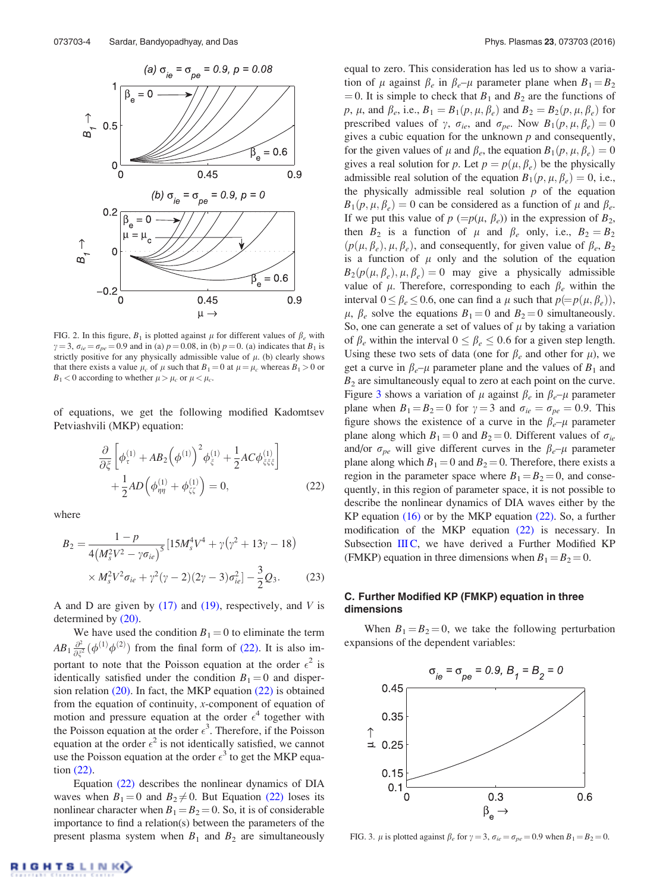

FIG. 2. In this figure,  $B_1$  is plotted against  $\mu$  for different values of  $\beta_e$  with  $\gamma = 3$ ,  $\sigma_{ie} = \sigma_{pe} = 0.9$  and in (a)  $p = 0.08$ , in (b)  $p = 0$ . (a) indicates that  $B_1$  is strictly positive for any physically admissible value of  $\mu$ . (b) clearly shows that there exists a value  $\mu_c$  of  $\mu$  such that  $B_1 = 0$  at  $\mu = \mu_c$  whereas  $B_1 > 0$  or  $B_1 < 0$  according to whether  $\mu > \mu_c$  or  $\mu < \mu_c$ .

of equations, we get the following modified Kadomtsev Petviashvili (MKP) equation:

$$
\frac{\partial}{\partial \xi} \left[ \phi_{\tau}^{(1)} + AB_2 \left( \phi^{(1)} \right)^2 \phi_{\xi}^{(1)} + \frac{1}{2} AC \phi_{\xi \xi \xi}^{(1)} \right] + \frac{1}{2} AD \left( \phi_{\eta \eta}^{(1)} + \phi_{\xi \zeta}^{(1)} \right) = 0, \tag{22}
$$

where

$$
B_2 = \frac{1 - p}{4(M_s^2 V^2 - \gamma \sigma_{ie})^5} [15M_s^4 V^4 + \gamma (\gamma^2 + 13\gamma - 18) \times M_s^2 V^2 \sigma_{ie} + \gamma^2 (\gamma - 2)(2\gamma - 3)\sigma_{ie}^2] - \frac{3}{2}Q_3.
$$
 (23)

A and D are given by (17) and (19), respectively, and *V* is determined by (20).

We have used the condition  $B_1 = 0$  to eliminate the term  $AB_1\frac{\partial^2}{\partial \overline{z}}$  $\frac{\partial^2}{\partial \xi^2}(\phi^{(1)}\phi^{(2)})$  from the final form of (22). It is also important to note that the Poisson equation at the order  $\epsilon^2$  is identically satisfied under the condition  $B_1 = 0$  and dispersion relation  $(20)$ . In fact, the MKP equation  $(22)$  is obtained from the equation of continuity, *x*-component of equation of motion and pressure equation at the order  $\epsilon^4$  together with the Poisson equation at the order  $\epsilon^3$ . Therefore, if the Poisson equation at the order  $\epsilon^2$  is not identically satisfied, we cannot use the Poisson equation at the order  $\epsilon^3$  to get the MKP equation (22).

Equation (22) describes the nonlinear dynamics of DIA waves when  $B_1 = 0$  and  $B_2 \neq 0$ . But Equation (22) loses its nonlinear character when  $B_1 = B_2 = 0$ . So, it is of considerable importance to find a relation(s) between the parameters of the present plasma system when  $B_1$  and  $B_2$  are simultaneously

equal to zero. This consideration has led us to show a variation of  $\mu$  against  $\beta_e$  in  $\beta_e-\mu$  parameter plane when  $B_1=B_2$  $= 0$ . It is simple to check that  $B_1$  and  $B_2$  are the functions of  $p, \mu$ , and  $\beta_e$ , i.e.,  $B_1 = B_1(p, \mu, \beta_e)$  and  $B_2 = B_2(p, \mu, \beta_e)$  for prescribed values of  $\gamma$ ,  $\sigma_{ie}$ , and  $\sigma_{pe}$ . Now  $B_1(p, \mu, \beta_e) = 0$ gives a cubic equation for the unknown *p* and consequently, for the given values of  $\mu$  and  $\beta_e$ , the equation  $B_1(p, \mu, \beta_e) = 0$ gives a real solution for *p*. Let  $p = p(\mu, \beta_e)$  be the physically admissible real solution of the equation  $B_1(p, \mu, \beta_e) = 0$ , i.e., the physically admissible real solution  $p$  of the equation  $B_1(p, \mu, \beta_e) = 0$  can be considered as a function of  $\mu$  and  $\beta_e$ . If we put this value of  $p (=p(\mu, \beta_e))$  in the expression of  $B_2$ , then  $B_2$  is a function of  $\mu$  and  $\beta_e$  only, i.e.,  $B_2 = B_2$  $(p(\mu, \beta_e), \mu, \beta_e)$ , and consequently, for given value of  $\beta_e$ ,  $B_2$ is a function of  $\mu$  only and the solution of the equation  $B_2(p(\mu, \beta_e), \mu, \beta_e) = 0$  may give a physically admissible value of  $\mu$ . Therefore, corresponding to each  $\beta_e$  within the interval  $0 \le \beta_e \le 0.6$ , one can find a  $\mu$  such that  $p(=p(\mu, \beta_e))$ ,  $\mu$ ,  $\beta_e$  solve the equations  $B_1 = 0$  and  $B_2 = 0$  simultaneously. So, one can generate a set of values of  $\mu$  by taking a variation of  $\beta_e$  within the interval  $0 \leq \beta_e \leq 0.6$  for a given step length. Using these two sets of data (one for  $\beta_e$  and other for  $\mu$ ), we get a curve in  $\beta_e$ – $\mu$  parameter plane and the values of  $B_1$  and  $B<sub>2</sub>$  are simultaneously equal to zero at each point on the curve. Figure 3 shows a variation of  $\mu$  against  $\beta_e$  in  $\beta_e-\mu$  parameter plane when  $B_1 = B_2 = 0$  for  $\gamma = 3$  and  $\sigma_{ie} = \sigma_{pe} = 0.9$ . This figure shows the existence of a curve in the  $\beta_e$ – $\mu$  parameter plane along which  $B_1 = 0$  and  $B_2 = 0$ . Different values of  $\sigma_{ie}$ and/or  $\sigma_{pe}$  will give different curves in the  $\beta_e$ – $\mu$  parameter plane along which  $B_1 = 0$  and  $B_2 = 0$ . Therefore, there exists a region in the parameter space where  $B_1 = B_2 = 0$ , and consequently, in this region of parameter space, it is not possible to describe the nonlinear dynamics of DIA waves either by the KP equation  $(16)$  or by the MKP equation  $(22)$ . So, a further modification of the MKP equation (22) is necessary. In Subsection III C, we have derived a Further Modified KP (FMKP) equation in three dimensions when  $B_1 = B_2 = 0$ .

## C. Further Modified KP (FMKP) equation in three dimensions

When  $B_1 = B_2 = 0$ , we take the following perturbation expansions of the dependent variables:



FIG. 3.  $\mu$  is plotted against  $\beta_e$  for  $\gamma = 3$ ,  $\sigma_{ie} = \sigma_{pe} = 0.9$  when  $B_1 = B_2 = 0$ .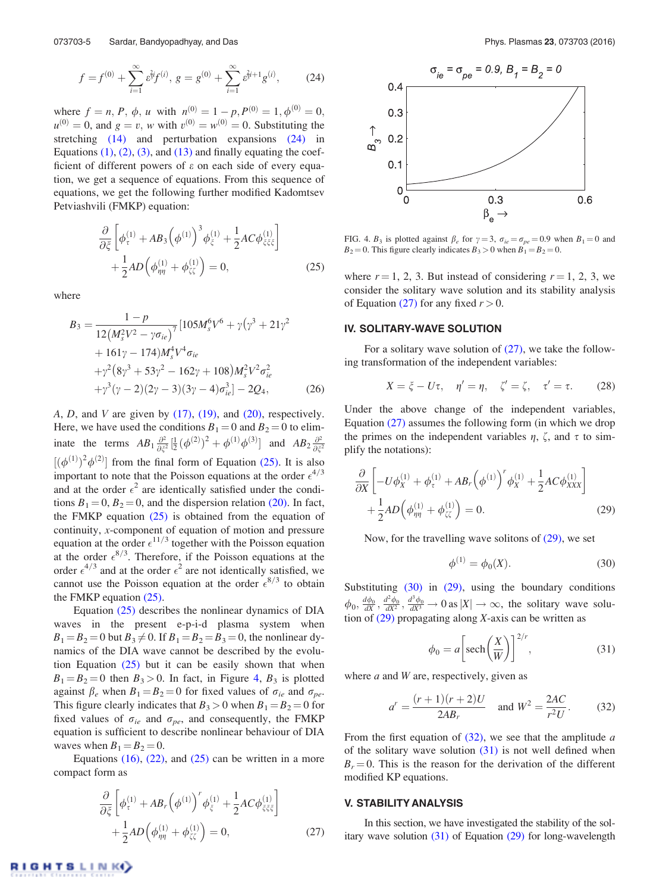$$
f = f^{(0)} + \sum_{i=1}^{\infty} \varepsilon^{2i} f^{(i)}, \ g = g^{(0)} + \sum_{i=1}^{\infty} \varepsilon^{2i+1} g^{(i)}, \tag{24}
$$

where  $f = n$ , *P*,  $\phi$ , *u* with  $n^{(0)} = 1 - p$ ,  $P^{(0)} = 1$ ,  $\phi^{(0)} = 0$ ,  $u^{(0)} = 0$ , and  $g = v$ , *w* with  $v^{(0)} = w^{(0)} = 0$ . Substituting the stretching (14) and perturbation expansions (24) in Equations  $(1)$ ,  $(2)$ ,  $(3)$ , and  $(13)$  and finally equating the coefficient of different powers of  $\varepsilon$  on each side of every equation, we get a sequence of equations. From this sequence of equations, we get the following further modified Kadomtsev Petviashvili (FMKP) equation:

$$
\frac{\partial}{\partial \xi} \left[ \phi_{\tau}^{(1)} + AB_3 \left( \phi^{(1)} \right)^3 \phi_{\xi}^{(1)} + \frac{1}{2} AC \phi_{\xi \xi \xi}^{(1)} \right] + \frac{1}{2} AD \left( \phi_{\eta \eta}^{(1)} + \phi_{\xi \xi}^{(1)} \right) = 0, \tag{25}
$$

where

$$
B_3 = \frac{1 - p}{12(M_s^2 V^2 - \gamma \sigma_{ie})^7} [105 M_s^6 V^6 + \gamma (\gamma^3 + 21 \gamma^2 + 161 \gamma - 174) M_s^4 V^4 \sigma_{ie} + \gamma^2 (8 \gamma^3 + 53 \gamma^2 - 162 \gamma + 108) M_s^2 V^2 \sigma_{ie}^2 + \gamma^3 (\gamma - 2) (2 \gamma - 3) (3 \gamma - 4) \sigma_{ie}^3] - 2Q_4,
$$
 (26)

 $A, D$ , and  $V$  are given by  $(17)$ ,  $(19)$ , and  $(20)$ , respectively. Here, we have used the conditions  $B_1 = 0$  and  $B_2 = 0$  to eliminate the terms  $AB_1 \frac{\partial^2}{\partial \overline{z}}$  $\frac{\partial^2}{\partial \xi^2} [\frac{1}{2} (\phi^{(2)})^2 + \phi^{(1)} \phi^{(3)}]$  and  $AB_2 \frac{\partial^2}{\partial \xi^2}$  $\overline{\partial \xi}^2$  $[(\phi^{(1)})^2 \phi^{(2)}]$  from the final form of Equation (25). It is also important to note that the Poisson equations at the order  $\epsilon^{4/3}$ and at the order  $\epsilon^2$  are identically satisfied under the conditions  $B_1 = 0$ ,  $B_2 = 0$ , and the dispersion relation (20). In fact, the FMKP equation  $(25)$  is obtained from the equation of continuity, *x*-component of equation of motion and pressure equation at the order  $\epsilon^{11/3}$  together with the Poisson equation at the order  $\epsilon^{8/3}$ . Therefore, if the Poisson equations at the order  $\epsilon^{4/3}$  and at the order  $\epsilon^2$  are not identically satisfied, we cannot use the Poisson equation at the order  $\epsilon^{8/3}$  to obtain the FMKP equation (25).

Equation (25) describes the nonlinear dynamics of DIA waves in the present e-p-i-d plasma system when  $B_1 = B_2 = 0$  but  $B_3 \neq 0$ . If  $B_1 = B_2 = B_3 = 0$ , the nonlinear dynamics of the DIA wave cannot be described by the evolution Equation  $(25)$  but it can be easily shown that when  $B_1 = B_2 = 0$  then  $B_3 > 0$ . In fact, in Figure 4,  $B_3$  is plotted against  $\beta_e$  when  $B_1 = B_2 = 0$  for fixed values of  $\sigma_{ie}$  and  $\sigma_{pe}$ . This figure clearly indicates that  $B_3 > 0$  when  $B_1 = B_2 = 0$  for fixed values of  $\sigma_{ie}$  and  $\sigma_{pe}$ , and consequently, the FMKP equation is sufficient to describe nonlinear behaviour of DIA waves when  $B_1 = B_2 = 0$ .

Equations  $(16)$ ,  $(22)$ , and  $(25)$  can be written in a more compact form as

$$
\frac{\partial}{\partial \xi} \left[ \phi_{\tau}^{(1)} + AB_r \left( \phi^{(1)} \right)^r \phi_{\xi}^{(1)} + \frac{1}{2} AC \phi_{\xi \xi \xi}^{(1)} \right] + \frac{1}{2} AD \left( \phi_{\eta \eta}^{(1)} + \phi_{\xi \xi}^{(1)} \right) = 0, \tag{27}
$$



FIG. 4.  $B_3$  is plotted against  $\beta_e$  for  $\gamma = 3$ ,  $\sigma_{ie} = \sigma_{pe} = 0.9$  when  $B_1 = 0$  and  $B_2 = 0$ . This figure clearly indicates  $B_3 > 0$  when  $B_1 = B_2 = 0$ .

where  $r = 1, 2, 3$ . But instead of considering  $r = 1, 2, 3$ , we consider the solitary wave solution and its stability analysis of Equation (27) for any fixed  $r > 0$ .

### IV. SOLITARY-WAVE SOLUTION

For a solitary wave solution of  $(27)$ , we take the following transformation of the independent variables:

$$
X = \xi - U\tau, \quad \eta' = \eta, \quad \zeta' = \zeta, \quad \tau' = \tau. \tag{28}
$$

Under the above change of the independent variables, Equation (27) assumes the following form (in which we drop the primes on the independent variables  $\eta$ ,  $\zeta$ , and  $\tau$  to simplify the notations):

$$
\frac{\partial}{\partial X} \left[ -U\phi_X^{(1)} + \phi_\tau^{(1)} + AB_r \left( \phi^{(1)} \right)^r \phi_X^{(1)} + \frac{1}{2} AC \phi_{XXX}^{(1)} \right] + \frac{1}{2} AD \left( \phi_{\eta\eta}^{(1)} + \phi_{\zeta\zeta}^{(1)} \right) = 0.
$$
\n(29)

Now, for the travelling wave solitons of  $(29)$ , we set

$$
\phi^{(1)} = \phi_0(X). \tag{30}
$$

Substituting (30) in (29), using the boundary conditions  $\phi_0$ ,  $\frac{d\phi_0}{dX}$ ,  $\frac{d^2\phi_0}{dX^2}$ ,  $\frac{d^3\phi_0}{dX^3}$   $\to$  0 as  $|X| \to \infty$ , the solitary wave solution of (29) propagating along *X*-axis can be written as

$$
\phi_0 = a \left[ \text{sech} \left( \frac{X}{W} \right) \right]^{2/r},\tag{31}
$$

where *a* and *W* are, respectively, given as

$$
a^r = \frac{(r+1)(r+2)U}{2AB_r} \quad \text{and } W^2 = \frac{2AC}{r^2U}.
$$
 (32)

From the first equation of (32), we see that the amplitude *a* of the solitary wave solution  $(31)$  is not well defined when  $B_r = 0$ . This is the reason for the derivation of the different modified KP equations.

#### V. STABILITY ANALYSIS

In this section, we have investigated the stability of the solitary wave solution  $(31)$  of Equation  $(29)$  for long-wavelength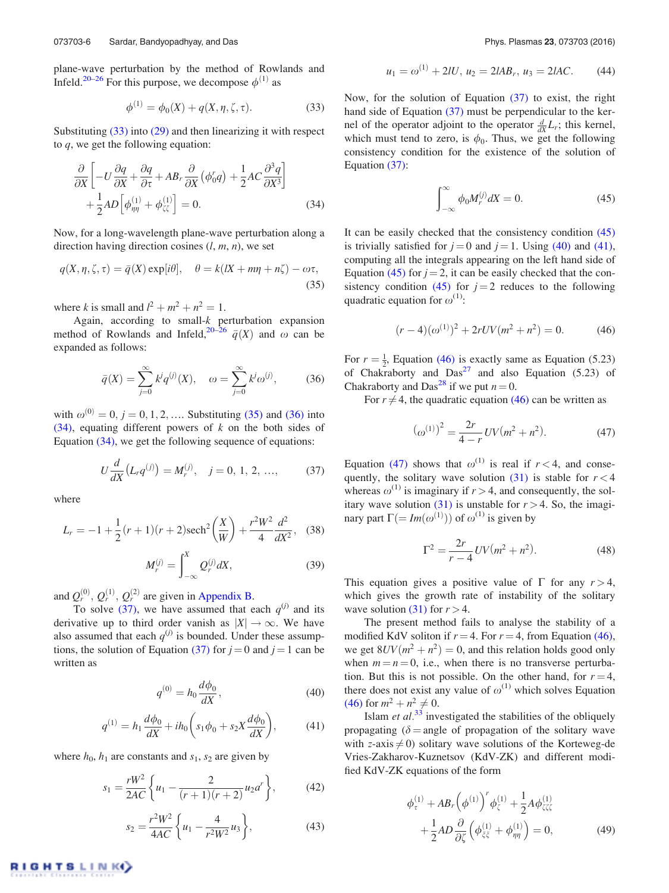plane-wave perturbation by the method of Rowlands and Infeld.<sup>20–26</sup> For this purpose, we decompose  $\phi^{(1)}$  as

$$
\phi^{(1)} = \phi_0(X) + q(X, \eta, \zeta, \tau).
$$
 (33)

Substituting (33) into (29) and then linearizing it with respect to *q*, we get the following equation:

$$
\frac{\partial}{\partial X} \left[ -U \frac{\partial q}{\partial X} + \frac{\partial q}{\partial \tau} + AB_r \frac{\partial}{\partial X} (\phi_0^r q) + \frac{1}{2} AC \frac{\partial^3 q}{\partial X^3} \right] + \frac{1}{2} AD \left[ \phi_{\eta\eta}^{(1)} + \phi_{\zeta\zeta}^{(1)} \right] = 0.
$$
\n(34)

Now, for a long-wavelength plane-wave perturbation along a direction having direction cosines (*l*, *m*, *n*), we set

$$
q(X, \eta, \zeta, \tau) = \bar{q}(X) \exp[i\theta], \quad \theta = k(X + m\eta + n\zeta) - \omega\tau,
$$
\n(35)

where *k* is small and  $l^2 + m^2 + n^2 = 1$ .

Again, according to small-*k* perturbation expansion method of Rowlands and Infeld,  $20-\overline{26}$   $\bar{q}(X)$  and  $\omega$  can be expanded as follows:

$$
\bar{q}(X) = \sum_{j=0}^{\infty} k^j q^{(j)}(X), \quad \omega = \sum_{j=0}^{\infty} k^j \omega^{(j)},
$$
 (36)

with  $\omega^{(0)} = 0, j = 0, 1, 2, \dots$  Substituting (35) and (36) into (34), equating different powers of *k* on the both sides of Equation (34), we get the following sequence of equations:

$$
U\frac{d}{dX}\left(L_r q^{(j)}\right) = M_r^{(j)}, \quad j = 0, 1, 2, ..., \tag{37}
$$

where

$$
L_r = -1 + \frac{1}{2}(r+1)(r+2)\text{sech}^2\left(\frac{X}{W}\right) + \frac{r^2W^2}{4}\frac{d^2}{dX^2},
$$
 (38)  

$$
M_r^{(j)} = \int_{-\infty}^X Q_r^{(j)} dX,
$$
 (39)

and  $Q_r^{(0)}$ ,  $Q_r^{(1)}$ ,  $Q_r^{(2)}$  are given in Appendix B.

To solve (37), we have assumed that each  $q^{(j)}$  and its derivative up to third order vanish as  $|X| \to \infty$ . We have also assumed that each  $q^{(j)}$  is bounded. Under these assumptions, the solution of Equation (37) for  $j = 0$  and  $j = 1$  can be written as

$$
q^{(0)} = h_0 \frac{d\phi_0}{dX},
$$
\t(40)

$$
q^{(1)} = h_1 \frac{d\phi_0}{dX} + ih_0 \left( s_1 \phi_0 + s_2 X \frac{d\phi_0}{dX} \right), \tag{41}
$$

where  $h_0$ ,  $h_1$  are constants and  $s_1$ ,  $s_2$  are given by

$$
s_1 = \frac{rW^2}{2AC} \left\{ u_1 - \frac{2}{(r+1)(r+2)} u_2 a^r \right\},\tag{42}
$$

$$
s_2 = \frac{r^2 W^2}{4AC} \left\{ u_1 - \frac{4}{r^2 W^2} u_3 \right\},\tag{43}
$$

$$
u_1 = \omega^{(1)} + 2lU, \, u_2 = 2lAB_r, \, u_3 = 2lAC. \tag{44}
$$

Now, for the solution of Equation (37) to exist, the right hand side of Equation (37) must be perpendicular to the kernel of the operator adjoint to the operator  $\frac{d}{dx}L_r$ ; this kernel, which must tend to zero, is  $\phi_0$ . Thus, we get the following consistency condition for the existence of the solution of Equation (37):

$$
\int_{-\infty}^{\infty} \phi_0 M_r^{(j)} dX = 0.
$$
 (45)

It can be easily checked that the consistency condition (45) is trivially satisfied for  $j = 0$  and  $j = 1$ . Using (40) and (41), computing all the integrals appearing on the left hand side of Equation (45) for  $j = 2$ , it can be easily checked that the consistency condition (45) for  $j = 2$  reduces to the following quadratic equation for  $\omega^{(1)}$ :

$$
(r-4)(\omega^{(1)})^2 + 2rUV(m^2 + n^2) = 0.
$$
 (46)

For  $r = \frac{1}{2}$ , Equation (46) is exactly same as Equation (5.23) of Chakraborty and  $Das^{27}$  and also Equation (5.23) of Chakraborty and Das<sup>28</sup> if we put  $n = 0$ .

For  $r \neq 4$ , the quadratic equation (46) can be written as

$$
(\omega^{(1)})^2 = \frac{2r}{4-r}UV(m^2+n^2). \tag{47}
$$

Equation (47) shows that  $\omega^{(1)}$  is real if  $r < 4$ , and consequently, the solitary wave solution  $(31)$  is stable for  $r < 4$ whereas  $\omega^{(1)}$  is imaginary if  $r > 4$ , and consequently, the solitary wave solution (31) is unstable for  $r > 4$ . So, the imaginary part  $\Gamma( = Im(\omega^{(1)}) )$  of  $\omega^{(1)}$  is given by

$$
\Gamma^2 = \frac{2r}{r-4}UV(m^2 + n^2). \tag{48}
$$

This equation gives a positive value of  $\Gamma$  for any  $r > 4$ , which gives the growth rate of instability of the solitary wave solution  $(31)$  for  $r > 4$ .

The present method fails to analyse the stability of a modified KdV soliton if  $r = 4$ . For  $r = 4$ , from Equation (46), we get  $8UV(m^2 + n^2) = 0$ , and this relation holds good only when  $m = n = 0$ , i.e., when there is no transverse perturbation. But this is not possible. On the other hand, for  $r = 4$ , there does not exist any value of  $\omega^{(1)}$  which solves Equation  $(46)$  for  $m^2 + n^2 \neq 0$ .

Islam *et al.*<sup>33</sup> investigated the stabilities of the obliquely propagating ( $\delta$  = angle of propagation of the solitary wave with *z*-axis  $\neq$  0) solitary wave solutions of the Korteweg-de Vries-Zakharov-Kuznetsov (KdV-ZK) and different modified KdV-ZK equations of the form

$$
\phi_{\tau}^{(1)} + AB_{r} \left(\phi^{(1)}\right)^{r} \phi_{\zeta}^{(1)} + \frac{1}{2} A \phi_{\zeta \zeta \zeta}^{(1)} \n+ \frac{1}{2} AD \frac{\partial}{\partial \zeta} \left(\phi_{\zeta \zeta}^{(1)} + \phi_{\eta \eta}^{(1)}\right) = 0,
$$
\n(49)